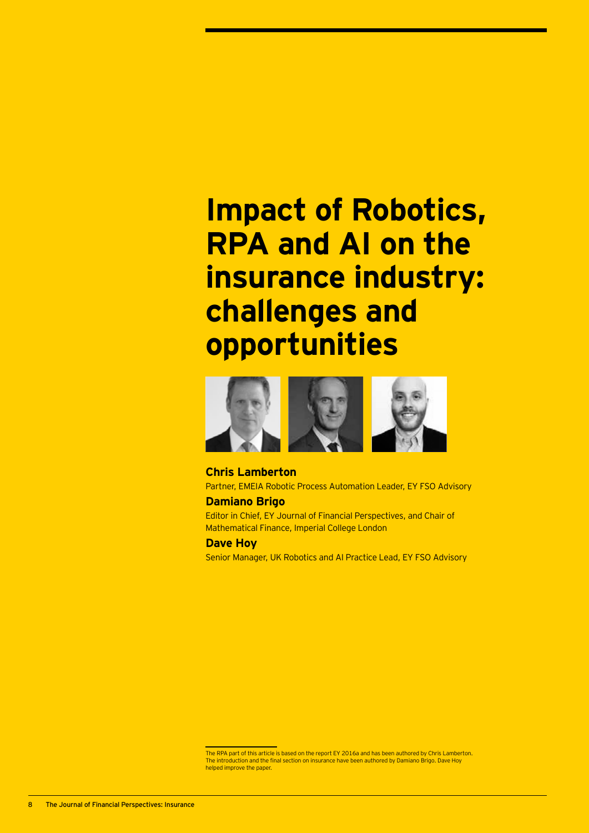# **Impact of Robotics, RPA and AI on the insurance industry: challenges and opportunities**



# **Chris Lamberton**

Partner, EMEIA Robotic Process Automation Leader, EY FSO Advisory

# **Damiano Brigo**

Editor in Chief, EY Journal of Financial Perspectives, and Chair of Mathematical Finance, Imperial College London

# **Dave Hoy**

Senior Manager, UK Robotics and AI Practice Lead, EY FSO Advisory

The RPA part of this article is based on the report EY 2016a and has been authored by Chris Lamberton. The introduction and the final section on insurance have been authored by Damiano Brigo. Dave Hoy helped improve the paper.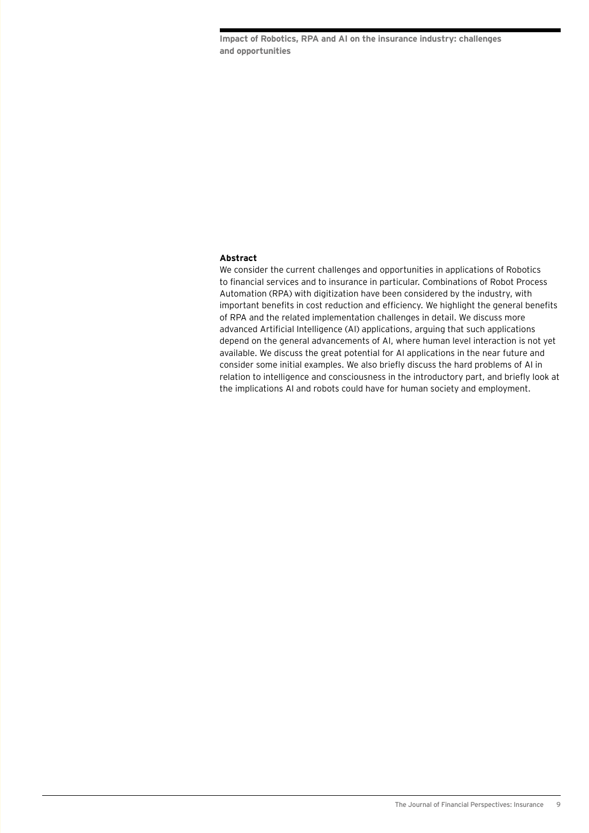**Impact of Robotics, RPA and AI on the insurance industry: challenges and opportunities**

# **Abstract**

We consider the current challenges and opportunities in applications of Robotics to financial services and to insurance in particular. Combinations of Robot Process Automation (RPA) with digitization have been considered by the industry, with important benefits in cost reduction and efficiency. We highlight the general benefits of RPA and the related implementation challenges in detail. We discuss more advanced Artificial Intelligence (AI) applications, arguing that such applications depend on the general advancements of AI, where human level interaction is not yet available. We discuss the great potential for AI applications in the near future and consider some initial examples. We also briefly discuss the hard problems of AI in relation to intelligence and consciousness in the introductory part, and briefly look at the implications AI and robots could have for human society and employment.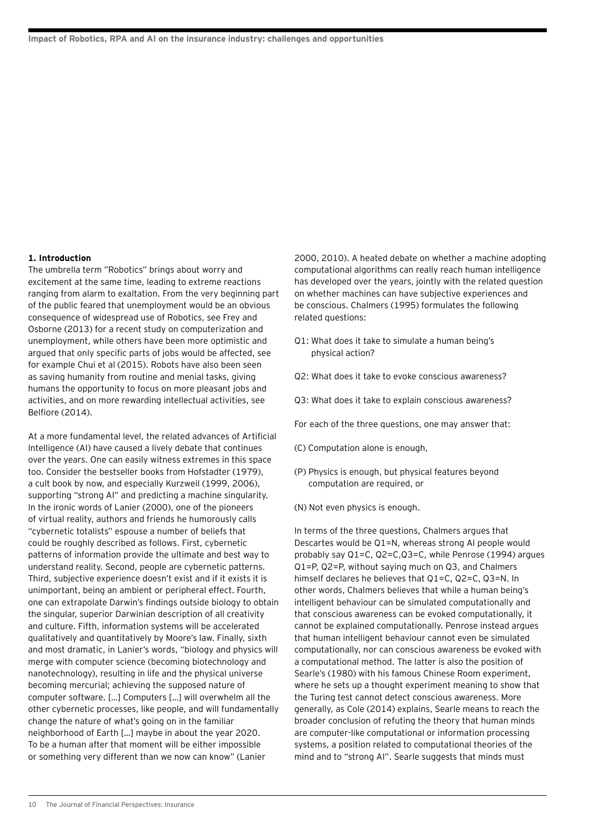# **1. Introduction**

The umbrella term "Robotics" brings about worry and excitement at the same time, leading to extreme reactions ranging from alarm to exaltation. From the very beginning part of the public feared that unemployment would be an obvious consequence of widespread use of Robotics, see Frey and Osborne (2013) for a recent study on computerization and unemployment, while others have been more optimistic and argued that only specific parts of jobs would be affected, see for example Chui et al (2015). Robots have also been seen as saving humanity from routine and menial tasks, giving humans the opportunity to focus on more pleasant jobs and activities, and on more rewarding intellectual activities, see Belfiore (2014).

At a more fundamental level, the related advances of Artificial Intelligence (AI) have caused a lively debate that continues over the years. One can easily witness extremes in this space too. Consider the bestseller books from Hofstadter (1979), a cult book by now, and especially Kurzweil (1999, 2006), supporting "strong AI" and predicting a machine singularity. In the ironic words of Lanier (2000), one of the pioneers of virtual reality, authors and friends he humorously calls "cybernetic totalists" espouse a number of beliefs that could be roughly described as follows. First, cybernetic patterns of information provide the ultimate and best way to understand reality. Second, people are cybernetic patterns. Third, subjective experience doesn't exist and if it exists it is unimportant, being an ambient or peripheral effect. Fourth, one can extrapolate Darwin's findings outside biology to obtain the singular, superior Darwinian description of all creativity and culture. Fifth, information systems will be accelerated qualitatively and quantitatively by Moore's law. Finally, sixth and most dramatic, in Lanier's words, "biology and physics will merge with computer science (becoming biotechnology and nanotechnology), resulting in life and the physical universe becoming mercurial; achieving the supposed nature of computer software. […] Computers […] will overwhelm all the other cybernetic processes, like people, and will fundamentally change the nature of what's going on in the familiar neighborhood of Earth […] maybe in about the year 2020. To be a human after that moment will be either impossible or something very different than we now can know" (Lanier

2000, 2010). A heated debate on whether a machine adopting computational algorithms can really reach human intelligence has developed over the years, jointly with the related question on whether machines can have subjective experiences and be conscious. Chalmers (1995) formulates the following related questions:

- Q1: What does it take to simulate a human being's physical action?
- Q2: What does it take to evoke conscious awareness?
- Q3: What does it take to explain conscious awareness?
- For each of the three questions, one may answer that:
- (C) Computation alone is enough,
- (P) Physics is enough, but physical features beyond computation are required, or
- (N) Not even physics is enough.

In terms of the three questions, Chalmers argues that Descartes would be Q1=N, whereas strong AI people would probably say Q1=C, Q2=C,Q3=C, while Penrose (1994) argues Q1=P, Q2=P, without saying much on Q3, and Chalmers himself declares he believes that Q1=C, Q2=C, Q3=N. In other words, Chalmers believes that while a human being's intelligent behaviour can be simulated computationally and that conscious awareness can be evoked computationally, it cannot be explained computationally. Penrose instead argues that human intelligent behaviour cannot even be simulated computationally, nor can conscious awareness be evoked with a computational method. The latter is also the position of Searle's (1980) with his famous Chinese Room experiment, where he sets up a thought experiment meaning to show that the Turing test cannot detect conscious awareness. More generally, as Cole (2014) explains, Searle means to reach the broader conclusion of refuting the theory that human minds are computer-like computational or information processing systems, a position related to computational theories of the mind and to "strong AI". Searle suggests that minds must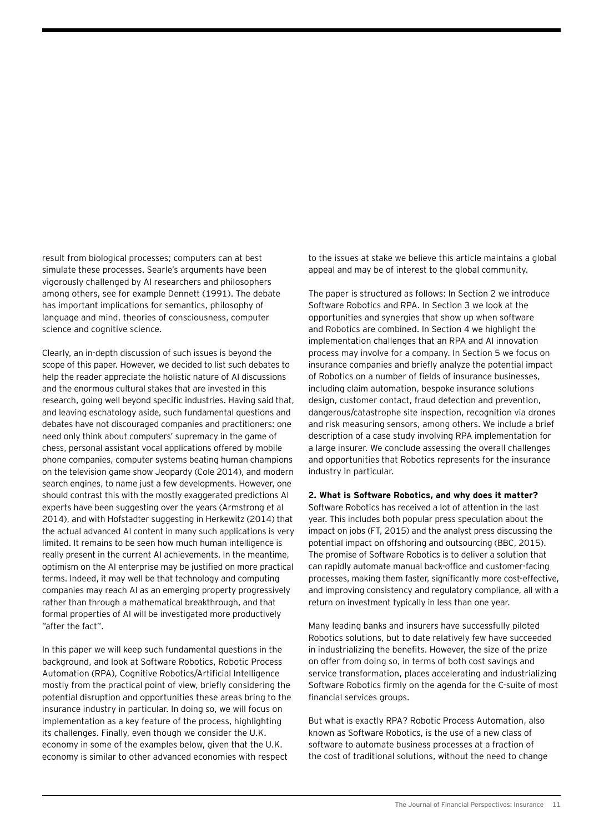result from biological processes; computers can at best simulate these processes. Searle's arguments have been vigorously challenged by AI researchers and philosophers among others, see for example Dennett (1991). The debate has important implications for semantics, philosophy of language and mind, theories of consciousness, computer science and cognitive science.

Clearly, an in-depth discussion of such issues is beyond the scope of this paper. However, we decided to list such debates to help the reader appreciate the holistic nature of AI discussions and the enormous cultural stakes that are invested in this research, going well beyond specific industries. Having said that, and leaving eschatology aside, such fundamental questions and debates have not discouraged companies and practitioners: one need only think about computers' supremacy in the game of chess, personal assistant vocal applications offered by mobile phone companies, computer systems beating human champions on the television game show Jeopardy (Cole 2014), and modern search engines, to name just a few developments. However, one should contrast this with the mostly exaggerated predictions AI experts have been suggesting over the years (Armstrong et al 2014), and with Hofstadter suggesting in Herkewitz (2014) that the actual advanced AI content in many such applications is very limited. It remains to be seen how much human intelligence is really present in the current AI achievements. In the meantime, optimism on the AI enterprise may be justified on more practical terms. Indeed, it may well be that technology and computing companies may reach AI as an emerging property progressively rather than through a mathematical breakthrough, and that formal properties of AI will be investigated more productively "after the fact".

In this paper we will keep such fundamental questions in the background, and look at Software Robotics, Robotic Process Automation (RPA), Cognitive Robotics/Artificial Intelligence mostly from the practical point of view, briefly considering the potential disruption and opportunities these areas bring to the insurance industry in particular. In doing so, we will focus on implementation as a key feature of the process, highlighting its challenges. Finally, even though we consider the U.K. economy in some of the examples below, given that the U.K. economy is similar to other advanced economies with respect

to the issues at stake we believe this article maintains a global appeal and may be of interest to the global community.

The paper is structured as follows: In Section 2 we introduce Software Robotics and RPA. In Section 3 we look at the opportunities and synergies that show up when software and Robotics are combined. In Section 4 we highlight the implementation challenges that an RPA and AI innovation process may involve for a company. In Section 5 we focus on insurance companies and briefly analyze the potential impact of Robotics on a number of fields of insurance businesses, including claim automation, bespoke insurance solutions design, customer contact, fraud detection and prevention, dangerous/catastrophe site inspection, recognition via drones and risk measuring sensors, among others. We include a brief description of a case study involving RPA implementation for a large insurer. We conclude assessing the overall challenges and opportunities that Robotics represents for the insurance industry in particular.

## **2. What is Software Robotics, and why does it matter?**

Software Robotics has received a lot of attention in the last year. This includes both popular press speculation about the impact on jobs (FT, 2015) and the analyst press discussing the potential impact on offshoring and outsourcing (BBC, 2015). The promise of Software Robotics is to deliver a solution that can rapidly automate manual back-office and customer-facing processes, making them faster, significantly more cost-effective, and improving consistency and regulatory compliance, all with a return on investment typically in less than one year.

Many leading banks and insurers have successfully piloted Robotics solutions, but to date relatively few have succeeded in industrializing the benefits. However, the size of the prize on offer from doing so, in terms of both cost savings and service transformation, places accelerating and industrializing Software Robotics firmly on the agenda for the C-suite of most financial services groups.

But what is exactly RPA? Robotic Process Automation, also known as Software Robotics, is the use of a new class of software to automate business processes at a fraction of the cost of traditional solutions, without the need to change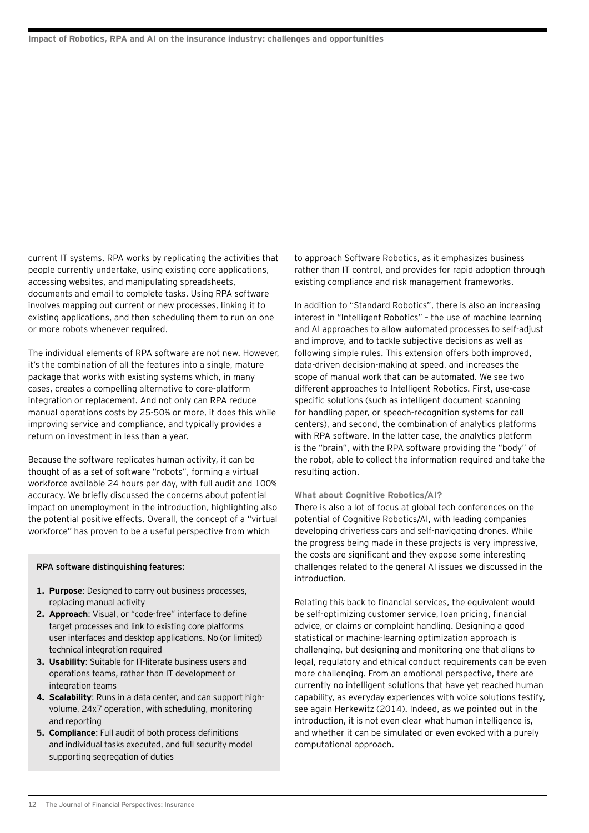current IT systems. RPA works by replicating the activities that people currently undertake, using existing core applications, accessing websites, and manipulating spreadsheets, documents and email to complete tasks. Using RPA software involves mapping out current or new processes, linking it to existing applications, and then scheduling them to run on one or more robots whenever required.

The individual elements of RPA software are not new. However, it's the combination of all the features into a single, mature package that works with existing systems which, in many cases, creates a compelling alternative to core-platform integration or replacement. And not only can RPA reduce manual operations costs by 25-50% or more, it does this while improving service and compliance, and typically provides a return on investment in less than a year.

Because the software replicates human activity, it can be thought of as a set of software "robots", forming a virtual workforce available 24 hours per day, with full audit and 100% accuracy. We briefly discussed the concerns about potential impact on unemployment in the introduction, highlighting also the potential positive effects. Overall, the concept of a "virtual workforce" has proven to be a useful perspective from which

#### RPA software distinguishing features:

- **1. Purpose**: Designed to carry out business processes, replacing manual activity
- **2. Approach**: Visual, or "code-free" interface to define target processes and link to existing core platforms user interfaces and desktop applications. No (or limited) technical integration required
- **3. Usability**: Suitable for IT-literate business users and operations teams, rather than IT development or integration teams
- **4. Scalability**: Runs in a data center, and can support highvolume, 24x7 operation, with scheduling, monitoring and reporting
- **5. Compliance**: Full audit of both process definitions and individual tasks executed, and full security model supporting segregation of duties

to approach Software Robotics, as it emphasizes business rather than IT control, and provides for rapid adoption through existing compliance and risk management frameworks.

In addition to "Standard Robotics", there is also an increasing interest in "Intelligent Robotics" – the use of machine learning and AI approaches to allow automated processes to self-adjust and improve, and to tackle subjective decisions as well as following simple rules. This extension offers both improved, data-driven decision-making at speed, and increases the scope of manual work that can be automated. We see two different approaches to Intelligent Robotics. First, use-case specific solutions (such as intelligent document scanning for handling paper, or speech-recognition systems for call centers), and second, the combination of analytics platforms with RPA software. In the latter case, the analytics platform is the "brain", with the RPA software providing the "body" of the robot, able to collect the information required and take the resulting action.

#### **What about Cognitive Robotics/AI?**

There is also a lot of focus at global tech conferences on the potential of Cognitive Robotics/AI, with leading companies developing driverless cars and self-navigating drones. While the progress being made in these projects is very impressive, the costs are significant and they expose some interesting challenges related to the general AI issues we discussed in the introduction.

Relating this back to financial services, the equivalent would be self-optimizing customer service, loan pricing, financial advice, or claims or complaint handling. Designing a good statistical or machine-learning optimization approach is challenging, but designing and monitoring one that aligns to legal, regulatory and ethical conduct requirements can be even more challenging. From an emotional perspective, there are currently no intelligent solutions that have yet reached human capability, as everyday experiences with voice solutions testify, see again Herkewitz (2014). Indeed, as we pointed out in the introduction, it is not even clear what human intelligence is, and whether it can be simulated or even evoked with a purely computational approach.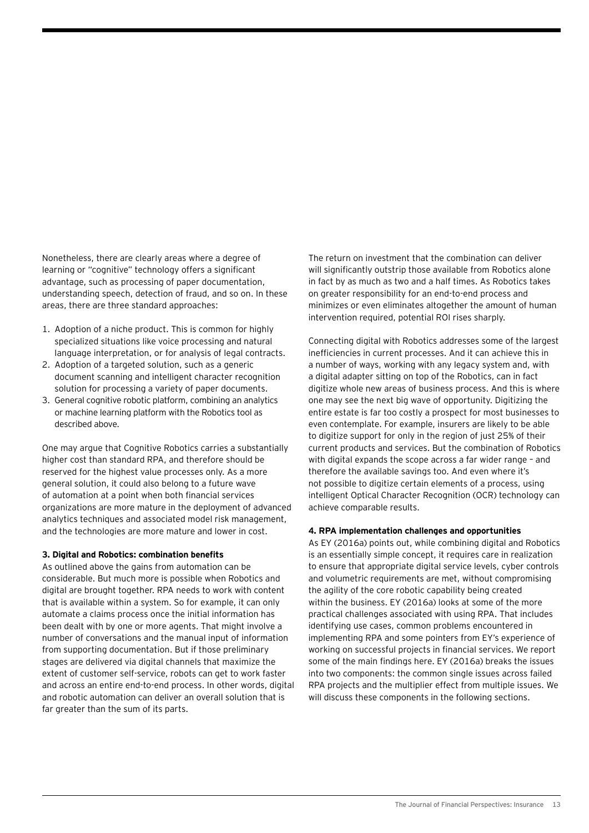Nonetheless, there are clearly areas where a degree of learning or "cognitive" technology offers a significant advantage, such as processing of paper documentation, understanding speech, detection of fraud, and so on. In these areas, there are three standard approaches:

- 1. Adoption of a niche product. This is common for highly specialized situations like voice processing and natural language interpretation, or for analysis of legal contracts.
- 2. Adoption of a targeted solution, such as a generic document scanning and intelligent character recognition solution for processing a variety of paper documents.
- 3. General cognitive robotic platform, combining an analytics or machine learning platform with the Robotics tool as described above.

One may argue that Cognitive Robotics carries a substantially higher cost than standard RPA, and therefore should be reserved for the highest value processes only. As a more general solution, it could also belong to a future wave of automation at a point when both financial services organizations are more mature in the deployment of advanced analytics techniques and associated model risk management, and the technologies are more mature and lower in cost.

# **3. Digital and Robotics: combination benefits**

As outlined above the gains from automation can be considerable. But much more is possible when Robotics and digital are brought together. RPA needs to work with content that is available within a system. So for example, it can only automate a claims process once the initial information has been dealt with by one or more agents. That might involve a number of conversations and the manual input of information from supporting documentation. But if those preliminary stages are delivered via digital channels that maximize the extent of customer self-service, robots can get to work faster and across an entire end-to-end process. In other words, digital and robotic automation can deliver an overall solution that is far greater than the sum of its parts.

The return on investment that the combination can deliver will significantly outstrip those available from Robotics alone in fact by as much as two and a half times. As Robotics takes on greater responsibility for an end-to-end process and minimizes or even eliminates altogether the amount of human intervention required, potential ROI rises sharply.

Connecting digital with Robotics addresses some of the largest inefficiencies in current processes. And it can achieve this in a number of ways, working with any legacy system and, with a digital adapter sitting on top of the Robotics, can in fact digitize whole new areas of business process. And this is where one may see the next big wave of opportunity. Digitizing the entire estate is far too costly a prospect for most businesses to even contemplate. For example, insurers are likely to be able to digitize support for only in the region of just 25% of their current products and services. But the combination of Robotics with digital expands the scope across a far wider range – and therefore the available savings too. And even where it's not possible to digitize certain elements of a process, using intelligent Optical Character Recognition (OCR) technology can achieve comparable results.

## **4. RPA implementation challenges and opportunities**

As EY (2016a) points out, while combining digital and Robotics is an essentially simple concept, it requires care in realization to ensure that appropriate digital service levels, cyber controls and volumetric requirements are met, without compromising the agility of the core robotic capability being created within the business. EY (2016a) looks at some of the more practical challenges associated with using RPA. That includes identifying use cases, common problems encountered in implementing RPA and some pointers from EY's experience of working on successful projects in financial services. We report some of the main findings here. EY (2016a) breaks the issues into two components: the common single issues across failed RPA projects and the multiplier effect from multiple issues. We will discuss these components in the following sections.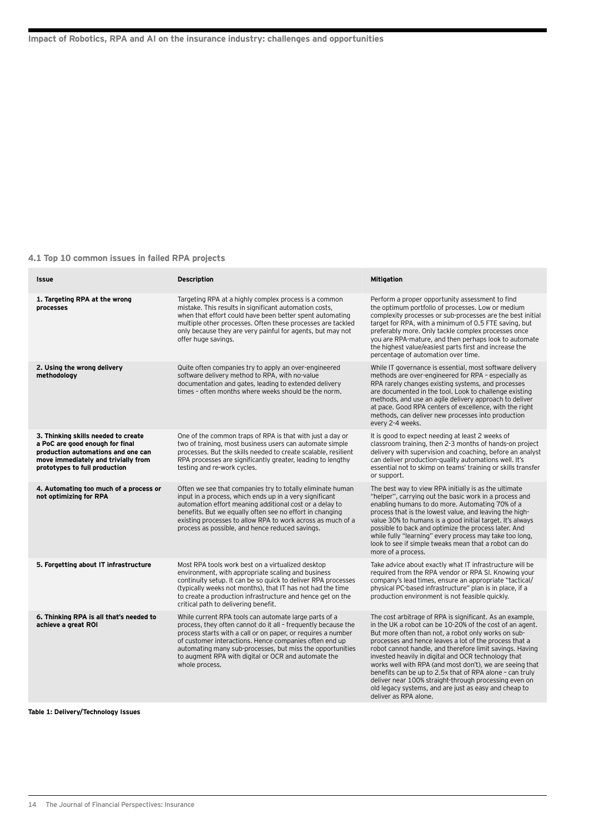# **4.1 Top 10 common issues in failed RPA projects**

| <b>Issue</b>                                                                                                                                                                         | <b>Description</b>                                                                                                                                                                                                                                                                                                                                                                     | <b>Mitigation</b>                                                                                                                                                                                                                                                                                                                                                                                                                                                                                                                                                                                                           |
|--------------------------------------------------------------------------------------------------------------------------------------------------------------------------------------|----------------------------------------------------------------------------------------------------------------------------------------------------------------------------------------------------------------------------------------------------------------------------------------------------------------------------------------------------------------------------------------|-----------------------------------------------------------------------------------------------------------------------------------------------------------------------------------------------------------------------------------------------------------------------------------------------------------------------------------------------------------------------------------------------------------------------------------------------------------------------------------------------------------------------------------------------------------------------------------------------------------------------------|
| 1. Targeting RPA at the wrong<br>processes                                                                                                                                           | Targeting RPA at a highly complex process is a common<br>mistake. This results in significant automation costs,<br>when that effort could have been better spent automating<br>multiple other processes. Often these processes are tackled<br>only because they are very painful for agents, but may not<br>offer huge savings.                                                        | Perform a proper opportunity assessment to find<br>the optimum portfolio of processes. Low or medium<br>complexity processes or sub-processes are the best initial<br>target for RPA, with a minimum of 0.5 FTE saving, but<br>preferably more. Only tackle complex processes once<br>you are RPA-mature, and then perhaps look to automate<br>the highest value/easiest parts first and increase the<br>percentage of automation over time.                                                                                                                                                                                |
| 2. Using the wrong delivery<br>methodology                                                                                                                                           | Quite often companies try to apply an over-engineered<br>software delivery method to RPA, with no-value<br>documentation and gates, leading to extended delivery<br>times - often months where weeks should be the norm.                                                                                                                                                               | While IT governance is essential, most software delivery<br>methods are over-engineered for RPA - especially as<br>RPA rarely changes existing systems, and processes<br>are documented in the tool. Look to challenge existing<br>methods, and use an agile delivery approach to deliver<br>at pace. Good RPA centers of excellence, with the right<br>methods, can deliver new processes into production<br>every 2-4 weeks.                                                                                                                                                                                              |
| 3. Thinking skills needed to create<br>a PoC are good enough for final<br>production automations and one can<br>move immediately and trivially from<br>prototypes to full production | One of the common traps of RPA is that with just a day or<br>two of training, most business users can automate simple<br>processes. But the skills needed to create scalable, resilient<br>RPA processes are significantly greater, leading to lengthy<br>testing and re-work cycles.                                                                                                  | It is good to expect needing at least 2 weeks of<br>classroom training, then 2-3 months of hands-on project<br>delivery with supervision and coaching, before an analyst<br>can deliver production-quality automations well. It's<br>essential not to skimp on teams' training or skills transfer<br>or support.                                                                                                                                                                                                                                                                                                            |
| 4. Automating too much of a process or<br>not optimizing for RPA                                                                                                                     | Often we see that companies try to totally eliminate human<br>input in a process, which ends up in a very significant<br>automation effort meaning additional cost or a delay to<br>benefits. But we equally often see no effort in changing<br>existing processes to allow RPA to work across as much of a<br>process as possible, and hence reduced savings.                         | The best way to view RPA initially is as the ultimate<br>"helper", carrying out the basic work in a process and<br>enabling humans to do more. Automating 70% of a<br>process that is the lowest value, and leaving the high-<br>value 30% to humans is a good initial target. It's always<br>possible to back and optimize the process later. And<br>while fully "learning" every process may take too long,<br>look to see if simple tweaks mean that a robot can do<br>more of a process.                                                                                                                                |
| 5. Forgetting about IT infrastructure                                                                                                                                                | Most RPA tools work best on a virtualized desktop<br>environment, with appropriate scaling and business<br>continuity setup. It can be so quick to deliver RPA processes<br>(typically weeks not months), that IT has not had the time<br>to create a production infrastructure and hence get on the<br>critical path to delivering benefit.                                           | Take advice about exactly what IT infrastructure will be<br>required from the RPA vendor or RPA SI. Knowing your<br>company's lead times, ensure an appropriate "tactical/<br>physical PC-based infrastructure" plan is in place, if a<br>production environment is not feasible quickly.                                                                                                                                                                                                                                                                                                                                   |
| 6. Thinking RPA is all that's needed to<br>achieve a great ROI                                                                                                                       | While current RPA tools can automate large parts of a<br>process, they often cannot do it all - frequently because the<br>process starts with a call or on paper, or requires a number<br>of customer interactions. Hence companies often end up<br>automating many sub-processes, but miss the opportunities<br>to augment RPA with digital or OCR and automate the<br>whole process. | The cost arbitrage of RPA is significant. As an example,<br>in the UK a robot can be 10-20% of the cost of an agent.<br>But more often than not, a robot only works on sub-<br>processes and hence leaves a lot of the process that a<br>robot cannot handle, and therefore limit savings. Having<br>invested heavily in digital and OCR technology that<br>works well with RPA (and most don't), we are seeing that<br>benefits can be up to 2.5x that of RPA alone - can truly<br>deliver near 100% straight-through processing even on<br>old legacy systems, and are just as easy and cheap to<br>deliver as RPA alone. |

**Table 1: Delivery/Technology Issues**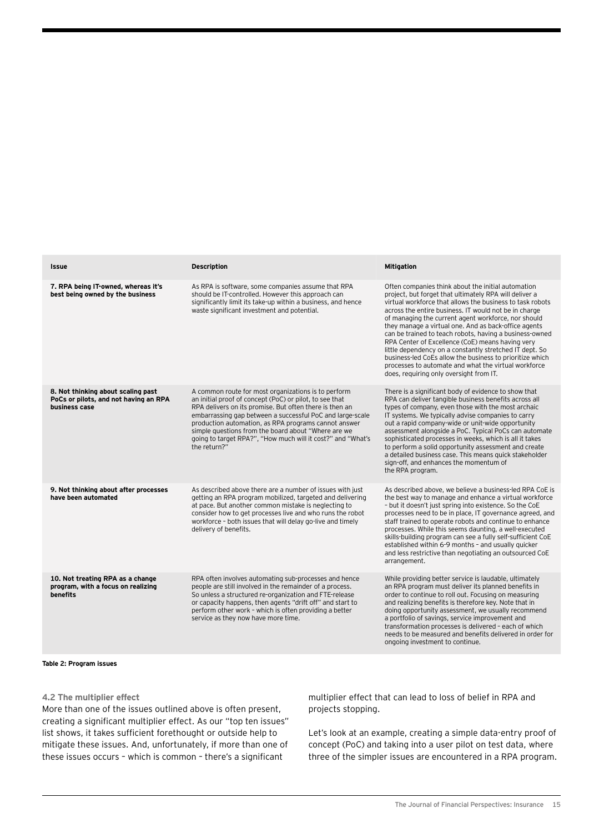| <b>Issue</b>                                                                                 | <b>Description</b>                                                                                                                                                                                                                                                                                                                                                                                                                   | <b>Mitigation</b>                                                                                                                                                                                                                                                                                                                                                                                                                                                                                                                                                                                                                                                                          |
|----------------------------------------------------------------------------------------------|--------------------------------------------------------------------------------------------------------------------------------------------------------------------------------------------------------------------------------------------------------------------------------------------------------------------------------------------------------------------------------------------------------------------------------------|--------------------------------------------------------------------------------------------------------------------------------------------------------------------------------------------------------------------------------------------------------------------------------------------------------------------------------------------------------------------------------------------------------------------------------------------------------------------------------------------------------------------------------------------------------------------------------------------------------------------------------------------------------------------------------------------|
| 7. RPA being IT-owned, whereas it's<br>best being owned by the business                      | As RPA is software, some companies assume that RPA<br>should be IT-controlled. However this approach can<br>significantly limit its take-up within a business, and hence<br>waste significant investment and potential.                                                                                                                                                                                                              | Often companies think about the initial automation<br>project, but forget that ultimately RPA will deliver a<br>virtual workforce that allows the business to task robots<br>across the entire business. IT would not be in charge<br>of managing the current agent workforce, nor should<br>they manage a virtual one. And as back-office agents<br>can be trained to teach robots, having a business-owned<br>RPA Center of Excellence (CoE) means having very<br>little dependency on a constantly stretched IT dept. So<br>business-led CoEs allow the business to prioritize which<br>processes to automate and what the virtual workforce<br>does, requiring only oversight from IT. |
| 8. Not thinking about scaling past<br>PoCs or pilots, and not having an RPA<br>business case | A common route for most organizations is to perform<br>an initial proof of concept (PoC) or pilot, to see that<br>RPA delivers on its promise. But often there is then an<br>embarrassing gap between a successful PoC and large-scale<br>production automation, as RPA programs cannot answer<br>simple questions from the board about "Where are we<br>going to target RPA?", "How much will it cost?" and "What's<br>the return?" | There is a significant body of evidence to show that<br>RPA can deliver tangible business benefits across all<br>types of company, even those with the most archaic<br>IT systems. We typically advise companies to carry<br>out a rapid company-wide or unit-wide opportunity<br>assessment alongside a PoC. Typical PoCs can automate<br>sophisticated processes in weeks, which is all it takes<br>to perform a solid opportunity assessment and create<br>a detailed business case. This means quick stakeholder<br>sign-off, and enhances the momentum of<br>the RPA program.                                                                                                         |
| 9. Not thinking about after processes<br>have been automated                                 | As described above there are a number of issues with just<br>getting an RPA program mobilized, targeted and delivering<br>at pace. But another common mistake is neglecting to<br>consider how to get processes live and who runs the robot<br>workforce - both issues that will delay go-live and timely<br>delivery of benefits.                                                                                                   | As described above, we believe a business-led RPA CoE is<br>the best way to manage and enhance a virtual workforce<br>- but it doesn't just spring into existence. So the CoE<br>processes need to be in place. IT governance agreed, and<br>staff trained to operate robots and continue to enhance<br>processes. While this seems daunting, a well-executed<br>skills-building program can see a fully self-sufficient CoE<br>established within 6-9 months - and usually quicker<br>and less restrictive than negotiating an outsourced CoE<br>arrangement.                                                                                                                             |
| 10. Not treating RPA as a change<br>program, with a focus on realizing<br>benefits           | RPA often involves automating sub-processes and hence<br>people are still involved in the remainder of a process.<br>So unless a structured re-organization and FTE-release<br>or capacity happens, then agents "drift off" and start to<br>perform other work - which is often providing a better<br>service as they now have more time.                                                                                            | While providing better service is laudable, ultimately<br>an RPA program must deliver its planned benefits in<br>order to continue to roll out. Focusing on measuring<br>and realizing benefits is therefore key. Note that in<br>doing opportunity assessment, we usually recommend<br>a portfolio of savings, service improvement and<br>transformation processes is delivered - each of which<br>needs to be measured and benefits delivered in order for<br>ongoing investment to continue.                                                                                                                                                                                            |

#### **Table 2: Program issues**

## **4.2 The multiplier effect**

More than one of the issues outlined above is often present, creating a significant multiplier effect. As our "top ten issues" list shows, it takes sufficient forethought or outside help to mitigate these issues. And, unfortunately, if more than one of these issues occurs – which is common – there's a significant

multiplier effect that can lead to loss of belief in RPA and projects stopping.

Let's look at an example, creating a simple data-entry proof of concept (PoC) and taking into a user pilot on test data, where three of the simpler issues are encountered in a RPA program.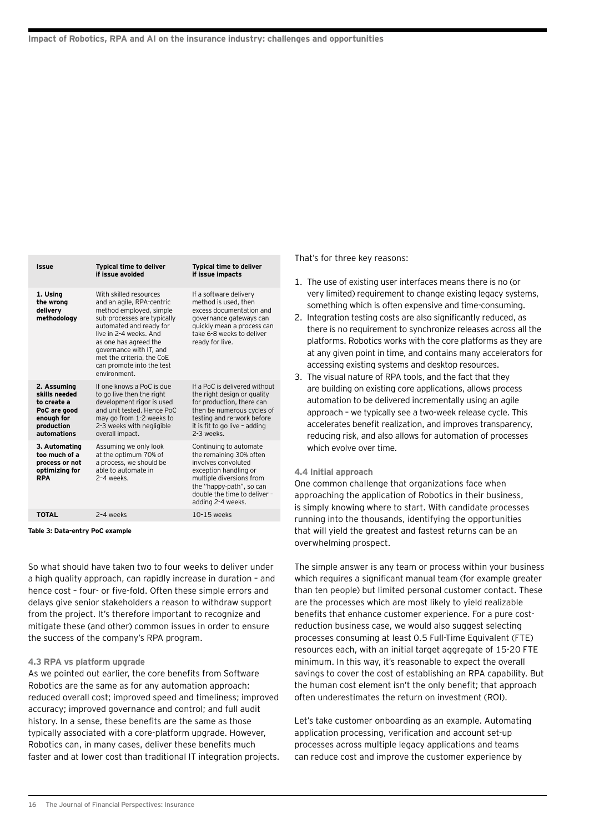| <b>Issue</b>                                                                                           | <b>Typical time to deliver</b><br>if issue avoided                                                                                                                                                                                                                                             | <b>Typical time to deliver</b><br>if issue impacts                                                                                                                                                             |
|--------------------------------------------------------------------------------------------------------|------------------------------------------------------------------------------------------------------------------------------------------------------------------------------------------------------------------------------------------------------------------------------------------------|----------------------------------------------------------------------------------------------------------------------------------------------------------------------------------------------------------------|
| 1. Using<br>the wrona<br>delivery<br>methodology                                                       | With skilled resources<br>and an agile, RPA-centric<br>method employed, simple<br>sub-processes are typically<br>automated and ready for<br>live in 2-4 weeks And<br>as one has agreed the<br>governance with IT, and<br>met the criteria, the CoE<br>can promote into the test<br>environment | If a software delivery<br>method is used, then<br>excess documentation and<br>governance gateways can<br>quickly mean a process can<br>take 6-8 weeks to deliver<br>ready for live.                            |
| 2. Assuming<br>skills needed<br>to create a<br>PoC are good<br>enough for<br>production<br>automations | If one knows a PoC is due<br>to go live then the right<br>development rigor is used<br>and unit tested. Hence PoC<br>may go from 1-2 weeks to<br>2-3 weeks with negligible<br>overall impact.                                                                                                  | If a PoC is delivered without<br>the right design or quality<br>for production, there can<br>then be numerous cycles of<br>testing and re-work before<br>it is fit to go live - adding<br>2-3 weeks            |
| 3. Automating<br>too much of a<br>process or not<br>optimizing for<br><b>RPA</b>                       | Assuming we only look<br>at the optimum 70% of<br>a process, we should be<br>able to automate in<br>$2 - 4$ weeks                                                                                                                                                                              | Continuing to automate<br>the remaining 30% often<br>involves convoluted<br>exception handling or<br>multiple diversions from<br>the "happy-path", so can<br>double the time to deliver -<br>adding 2-4 weeks. |
| <b>TOTAL</b>                                                                                           | 2-4 weeks                                                                                                                                                                                                                                                                                      | $10-15$ weeks                                                                                                                                                                                                  |

**Table 3: Data-entry PoC example**

So what should have taken two to four weeks to deliver under a high quality approach, can rapidly increase in duration – and hence cost – four- or five-fold. Often these simple errors and delays give senior stakeholders a reason to withdraw support from the project. It's therefore important to recognize and mitigate these (and other) common issues in order to ensure the success of the company's RPA program.

## **4.3 RPA vs platform upgrade**

As we pointed out earlier, the core benefits from Software Robotics are the same as for any automation approach: reduced overall cost; improved speed and timeliness; improved accuracy; improved governance and control; and full audit history. In a sense, these benefits are the same as those typically associated with a core-platform upgrade. However, Robotics can, in many cases, deliver these benefits much faster and at lower cost than traditional IT integration projects. That's for three key reasons:

- 1. The use of existing user interfaces means there is no (or very limited) requirement to change existing legacy systems, something which is often expensive and time-consuming.
- 2. Integration testing costs are also significantly reduced, as there is no requirement to synchronize releases across all the platforms. Robotics works with the core platforms as they are at any given point in time, and contains many accelerators for accessing existing systems and desktop resources.
- 3. The visual nature of RPA tools, and the fact that they are building on existing core applications, allows process automation to be delivered incrementally using an agile approach – we typically see a two-week release cycle. This accelerates benefit realization, and improves transparency, reducing risk, and also allows for automation of processes which evolve over time.

#### **4.4 Initial approach**

One common challenge that organizations face when approaching the application of Robotics in their business, is simply knowing where to start. With candidate processes running into the thousands, identifying the opportunities that will yield the greatest and fastest returns can be an overwhelming prospect.

The simple answer is any team or process within your business which requires a significant manual team (for example greater than ten people) but limited personal customer contact. These are the processes which are most likely to yield realizable benefits that enhance customer experience. For a pure costreduction business case, we would also suggest selecting processes consuming at least 0.5 Full-Time Equivalent (FTE) resources each, with an initial target aggregate of 15-20 FTE minimum. In this way, it's reasonable to expect the overall savings to cover the cost of establishing an RPA capability. But the human cost element isn't the only benefit; that approach often underestimates the return on investment (ROI).

Let's take customer onboarding as an example. Automating application processing, verification and account set-up processes across multiple legacy applications and teams can reduce cost and improve the customer experience by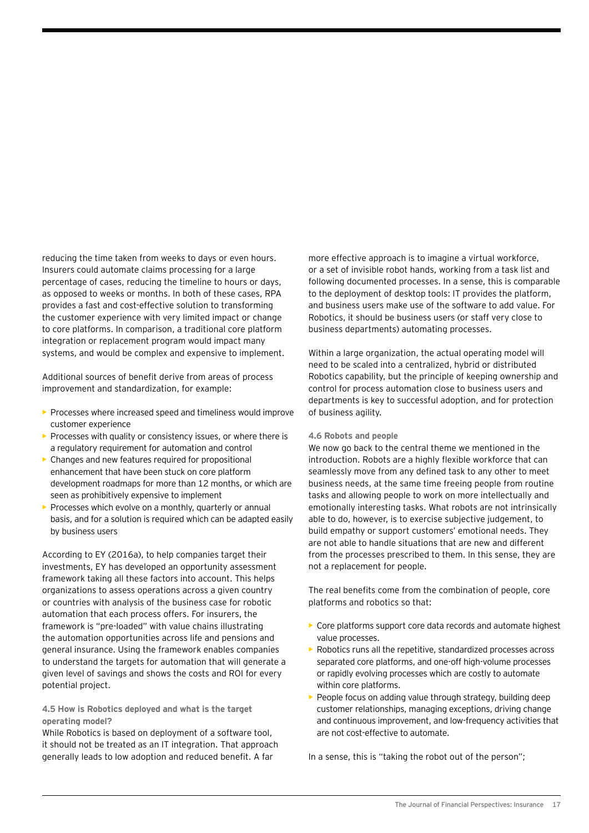reducing the time taken from weeks to days or even hours. Insurers could automate claims processing for a large percentage of cases, reducing the timeline to hours or days, as opposed to weeks or months. In both of these cases, RPA provides a fast and cost-effective solution to transforming the customer experience with very limited impact or change to core platforms. In comparison, a traditional core platform integration or replacement program would impact many systems, and would be complex and expensive to implement.

Additional sources of benefit derive from areas of process improvement and standardization, for example:

- **•** Processes where increased speed and timeliness would improve customer experience
- **•** Processes with quality or consistency issues, or where there is a regulatory requirement for automation and control
- **•** Changes and new features required for propositional enhancement that have been stuck on core platform development roadmaps for more than 12 months, or which are seen as prohibitively expensive to implement
- **•** Processes which evolve on a monthly, quarterly or annual basis, and for a solution is required which can be adapted easily by business users

According to EY (2016a), to help companies target their investments, EY has developed an opportunity assessment framework taking all these factors into account. This helps organizations to assess operations across a given country or countries with analysis of the business case for robotic automation that each process offers. For insurers, the framework is "pre-loaded" with value chains illustrating the automation opportunities across life and pensions and general insurance. Using the framework enables companies to understand the targets for automation that will generate a given level of savings and shows the costs and ROI for every potential project.

**4.5 How is Robotics deployed and what is the target operating model?**

While Robotics is based on deployment of a software tool, it should not be treated as an IT integration. That approach generally leads to low adoption and reduced benefit. A far

more effective approach is to imagine a virtual workforce, or a set of invisible robot hands, working from a task list and following documented processes. In a sense, this is comparable to the deployment of desktop tools: IT provides the platform, and business users make use of the software to add value. For Robotics, it should be business users (or staff very close to business departments) automating processes.

Within a large organization, the actual operating model will need to be scaled into a centralized, hybrid or distributed Robotics capability, but the principle of keeping ownership and control for process automation close to business users and departments is key to successful adoption, and for protection of business agility.

## **4.6 Robots and people**

We now go back to the central theme we mentioned in the introduction. Robots are a highly flexible workforce that can seamlessly move from any defined task to any other to meet business needs, at the same time freeing people from routine tasks and allowing people to work on more intellectually and emotionally interesting tasks. What robots are not intrinsically able to do, however, is to exercise subjective judgement, to build empathy or support customers' emotional needs. They are not able to handle situations that are new and different from the processes prescribed to them. In this sense, they are not a replacement for people.

The real benefits come from the combination of people, core platforms and robotics so that:

- **•** Core platforms support core data records and automate highest value processes.
- **•** Robotics runs all the repetitive, standardized processes across separated core platforms, and one-off high-volume processes or rapidly evolving processes which are costly to automate within core platforms.
- **•** People focus on adding value through strategy, building deep customer relationships, managing exceptions, driving change and continuous improvement, and low-frequency activities that are not cost-effective to automate.

In a sense, this is "taking the robot out of the person";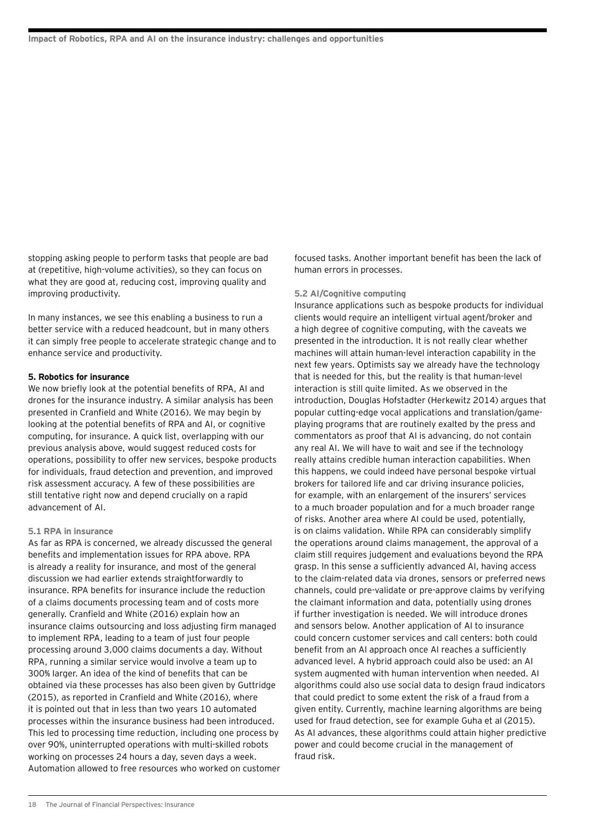stopping asking people to perform tasks that people are bad at (repetitive, high-volume activities), so they can focus on what they are good at, reducing cost, improving quality and improving productivity.

In many instances, we see this enabling a business to run a better service with a reduced headcount, but in many others it can simply free people to accelerate strategic change and to enhance service and productivity.

#### **5. Robotics for insurance**

We now briefly look at the potential benefits of RPA, AI and drones for the insurance industry. A similar analysis has been presented in Cranfield and White (2016). We may begin by looking at the potential benefits of RPA and AI, or cognitive computing, for insurance. A quick list, overlapping with our previous analysis above, would suggest reduced costs for operations, possibility to offer new services, bespoke products for individuals, fraud detection and prevention, and improved risk assessment accuracy. A few of these possibilities are still tentative right now and depend crucially on a rapid advancement of AI.

## **5.1 RPA in insurance**

As far as RPA is concerned, we already discussed the general benefits and implementation issues for RPA above. RPA is already a reality for insurance, and most of the general discussion we had earlier extends straightforwardly to insurance. RPA benefits for insurance include the reduction of a claims documents processing team and of costs more generally. Cranfield and White (2016) explain how an insurance claims outsourcing and loss adjusting firm managed to implement RPA, leading to a team of just four people processing around 3,000 claims documents a day. Without RPA, running a similar service would involve a team up to 300% larger. An idea of the kind of benefits that can be obtained via these processes has also been given by Guttridge (2015), as reported in Cranfield and White (2016), where it is pointed out that in less than two years 10 automated processes within the insurance business had been introduced. This led to processing time reduction, including one process by over 90%, uninterrupted operations with multi-skilled robots working on processes 24 hours a day, seven days a week. Automation allowed to free resources who worked on customer focused tasks. Another important benefit has been the lack of human errors in processes.

#### **5.2 AI/Cognitive computing**

Insurance applications such as bespoke products for individual clients would require an intelligent virtual agent/broker and a high degree of cognitive computing, with the caveats we presented in the introduction. It is not really clear whether machines will attain human-level interaction capability in the next few years. Optimists say we already have the technology that is needed for this, but the reality is that human-level interaction is still quite limited. As we observed in the introduction, Douglas Hofstadter (Herkewitz 2014) argues that popular cutting-edge vocal applications and translation/gameplaying programs that are routinely exalted by the press and commentators as proof that AI is advancing, do not contain any real AI. We will have to wait and see if the technology really attains credible human interaction capabilities. When this happens, we could indeed have personal bespoke virtual brokers for tailored life and car driving insurance policies, for example, with an enlargement of the insurers' services to a much broader population and for a much broader range of risks. Another area where AI could be used, potentially, is on claims validation. While RPA can considerably simplify the operations around claims management, the approval of a claim still requires judgement and evaluations beyond the RPA grasp. In this sense a sufficiently advanced AI, having access to the claim-related data via drones, sensors or preferred news channels, could pre-validate or pre-approve claims by verifying the claimant information and data, potentially using drones if further investigation is needed. We will introduce drones and sensors below. Another application of AI to insurance could concern customer services and call centers: both could benefit from an AI approach once AI reaches a sufficiently advanced level. A hybrid approach could also be used: an AI system augmented with human intervention when needed. AI algorithms could also use social data to design fraud indicators that could predict to some extent the risk of a fraud from a given entity. Currently, machine learning algorithms are being used for fraud detection, see for example Guha et al (2015). As AI advances, these algorithms could attain higher predictive power and could become crucial in the management of fraud risk.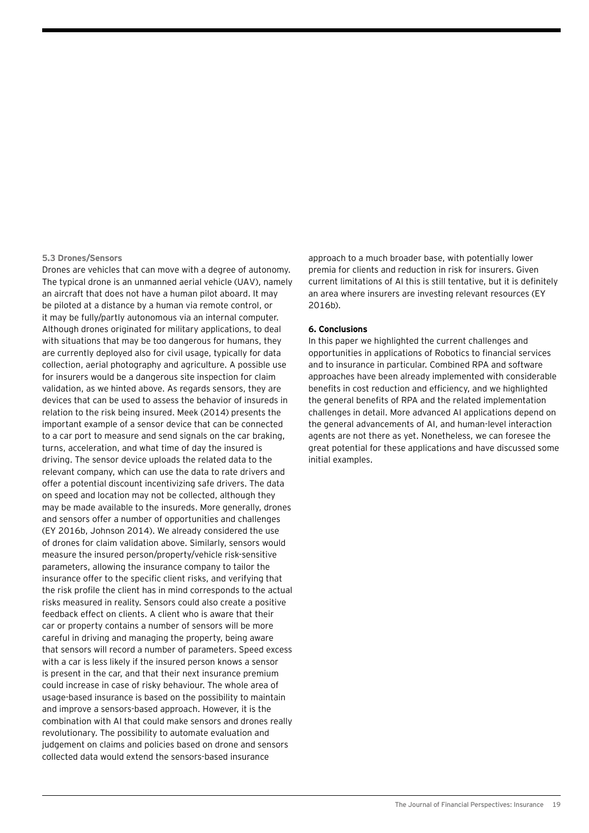## **5.3 Drones/Sensors**

Drones are vehicles that can move with a degree of autonomy. The typical drone is an unmanned aerial vehicle (UAV), namely an aircraft that does not have a human pilot aboard. It may be piloted at a distance by a human via remote control, or it may be fully/partly autonomous via an internal computer. Although drones originated for military applications, to deal with situations that may be too dangerous for humans, they are currently deployed also for civil usage, typically for data collection, aerial photography and agriculture. A possible use for insurers would be a dangerous site inspection for claim validation, as we hinted above. As regards sensors, they are devices that can be used to assess the behavior of insureds in relation to the risk being insured. Meek (2014) presents the important example of a sensor device that can be connected to a car port to measure and send signals on the car braking, turns, acceleration, and what time of day the insured is driving. The sensor device uploads the related data to the relevant company, which can use the data to rate drivers and offer a potential discount incentivizing safe drivers. The data on speed and location may not be collected, although they may be made available to the insureds. More generally, drones and sensors offer a number of opportunities and challenges (EY 2016b, Johnson 2014). We already considered the use of drones for claim validation above. Similarly, sensors would measure the insured person/property/vehicle risk-sensitive parameters, allowing the insurance company to tailor the insurance offer to the specific client risks, and verifying that the risk profile the client has in mind corresponds to the actual risks measured in reality. Sensors could also create a positive feedback effect on clients. A client who is aware that their car or property contains a number of sensors will be more careful in driving and managing the property, being aware that sensors will record a number of parameters. Speed excess with a car is less likely if the insured person knows a sensor is present in the car, and that their next insurance premium could increase in case of risky behaviour. The whole area of usage-based insurance is based on the possibility to maintain and improve a sensors-based approach. However, it is the combination with AI that could make sensors and drones really revolutionary. The possibility to automate evaluation and judgement on claims and policies based on drone and sensors collected data would extend the sensors-based insurance

approach to a much broader base, with potentially lower premia for clients and reduction in risk for insurers. Given current limitations of AI this is still tentative, but it is definitely an area where insurers are investing relevant resources (EY 2016b).

## **6. Conclusions**

In this paper we highlighted the current challenges and opportunities in applications of Robotics to financial services and to insurance in particular. Combined RPA and software approaches have been already implemented with considerable benefits in cost reduction and efficiency, and we highlighted the general benefits of RPA and the related implementation challenges in detail. More advanced AI applications depend on the general advancements of AI, and human-level interaction agents are not there as yet. Nonetheless, we can foresee the great potential for these applications and have discussed some initial examples.